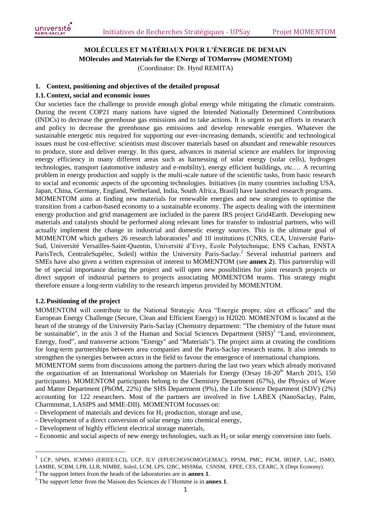# **MOLÉCULES ET MATÉRIAUX POUR L'ÉNERGIE DE DEMAIN MOlecules and Materials for the ENergy of TOMorrow (MOMENTOM)**

(Coordinator: Dr. Hynd REMITA)

### **1. Context, positioning and objectives of the detailed proposal**

### **1.1.Context, social and economic issues**

Our societies face the challenge to provide enough global energy while mitigating the climatic constraints. During the recent COP21 many nations have signed the Intended Nationally Determined Contributions (INDCs) to decrease the greenhouse gas emissions and to take actions. It is urgent to put efforts in research and policy to decrease the greenhouse gas emissions and develop renewable energies. Whatever the sustainable energetic mix required for supporting our ever-increasing demands, scientific and technological issues must be cost-effective: scientists must discover materials based on abundant and renewable resources to produce, store and deliver energy. In this quest, advances in material science are enablers for improving energy efficiency in many different areas such as harnessing of solar energy (solar cells), hydrogen technologies, transport (automotive industry and e-mobility), energy efficient buildings, etc.… A recurring problem in energy production and supply is the multi-scale nature of the scientific tasks, from basic research to social and economic aspects of the upcoming technologies. Initiatives (in many countries including USA, Japan, China, Germany, England, Netherland, India, South Africa, Brasil) have launched research programs. MOMENTOM aims at finding new materials for renewable energies and new strategies to optimise the transition from a carbon-based economy to a sustainable economy. The aspects dealing with the intermittent energy production and grid management are included in the parent IRS project Grid4Earth. Developing new materials and catalysts should be performed along relevant lines for transfer to industrial partners, who will actually implement the change in industrial and domestic energy sources. This is the ultimate goal of MOMENTOM which gathers 26 research laboratories**<sup>1</sup>** and 10 institutions (CNRS, CEA, Université Paris-Sud, Université Versailles-Saint-Quentin, Université d'Evry, Ecole Polytechnique, ENS Cachan, ENSTA ParisTech, CentraleSupélec, Soleil) within the University Paris-Saclay.<sup>2</sup> Several industrial partners and

SMEs have also given a written expression of interest to MOMENTOM (see **annex 2**). This partnership will be of special importance during the project and will open new possibilities for joint research projects or direct support of industrial partners to projects associating MOMENTOM teams. This strategy might therefore ensure a long-term viability to the research impetus provided by MOMENTOM.

#### **1.2.Positioning of the project**

**.** 

MOMENTOM will contribute to the National Strategic Area "Energie propre, sûre et efficace" and the European Energy Challenge (Secure, Clean and Efficient Energy) in H2020. MOMENTOM is located at the heart of the strategy of the University Paris-Saclay (Chemistry department: "The chemistry of the future must be sustainable", in the axis 3 of the Human and Social Sciences Department (SHS)<sup>3</sup> "Land, environment, Energy, food", and transverse actions "Energy" and "Materials"). The project aims at creating the conditions for long-term partnerships between area companies and the Paris-Saclay research teams. It also intends to strengthen the synergies between actors in the field to favour the emergence of international champions.

MOMENTOM stems from discussions among the partners during the last two years which already motivated the organisation of an International Workshop on Materials for Energy (Orsay 18-20<sup>th</sup> March 2015, 150 participants). MOMENTOM participants belong to the Chemistry Department (67%), the Physics of Wave and Matter Department (PhOM, 22%) the SHS Department (9%), the Life Science Department (SDV) (2%) accounting for 122 researchers. Most of the partners are involved in five LABEX (NanoSaclay, Palm, Charmmmat, LASIPS and MME-DII). MOMENTOM focusses on:

- Development of materials and devices for  $H<sub>2</sub>$  production, storage and use,
- Development of a direct conversion of solar energy into chemical energy,
- Development of highly efficient electrical storage materials,
- Economic and social aspects of new energy technologies, such as  $H_2$  or solar energy conversion into fuels.

<sup>1</sup> LCP, SPMS, ICMMO (ERIEE/LCI), UCP, ILV (EPI/ECHO/SOMO/GEMAC), PPSM, PMC, PICM, IRDEP, LAC, ISMO, LAMBE, SCBM, LPB, LLB, NIMBE, Soleil, LCM, LPS, I2BC, MSSMat, CSNSM, EPEE, CES, CEARC, X (Dept Economy).

<sup>2</sup> The support letters from the heads of the laboratories are in **annex 1**.

<sup>3</sup> The support letter from the Maison des Sciences de l'Homme is in **annex 1**.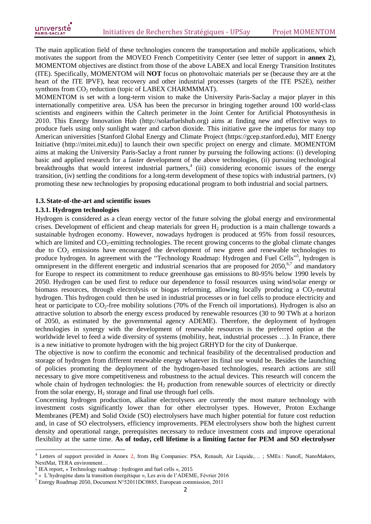The main application field of these technologies concern the transportation and mobile applications, which motivates the support from the MOVEO French Competitivity Center (see letter of support in **annex 2**), MOMENTOM objectives are distinct from those of the above LABEX and local Energy Transition Institutes (ITE). Specifically, MOMENTOM will **NOT** focus on photovoltaic materials per se (because they are at the heart of the ITE IPVF), heat recovery and other industrial processes (targets of the ITE PS2E), neither synthons from  $CO<sub>2</sub>$  reduction (topic of LABEX CHARMMMAT).

MOMENTOM is set with a long-term vision to make the University Paris-Saclay a major player in this internationally competitive area. USA has been the precursor in bringing together around 100 world-class scientists and engineers within the Caltech perimeter in the Joint Center for Artificial Photosynthesis in 2010. This Energy Innovation Hub (http://solarfuelshub.org) aims at finding new and effective ways to produce fuels using only sunlight water and carbon dioxide. This initiative gave the impetus for many top American universities [Stanford Global Energy and Climate Project (https://gcep.stanford.edu), MIT Energy Initiative (http://mitei.mit.edu)] to launch their own specific project on energy and climate. MOMENTOM aims at making the University Paris-Saclay a front runner by pursuing the following actions: (i) developing basic and applied research for a faster development of the above technologies, (ii) pursuing technological breakthroughs that would interest industrial partners,<sup>4</sup> (iii) considering economic issues of the energy transition, (iv) settling the conditions for a long-term development of these topics with industrial partners, (v) promoting these new technologies by proposing educational program to both industrial and social partners.

#### **1.3.State-of-the-art and scientific issues**

# **1.3.1. Hydrogen technologies**

Hydrogen is considered as a clean energy vector of the future solving the global energy and environmental crises. Development of efficient and cheap materials for green  $H<sub>2</sub>$  production is a main challenge towards a sustainable hydrogen economy. However, nowadays hydrogen is produced at 95% from fossil resources, which are limited and  $CO<sub>2</sub>$ -emitting technologies. The recent growing concerns to the global climate changes due to  $CO<sub>2</sub>$  emissions have encouraged the development of new green and renewable technologies to produce hydrogen. In agreement with the "Technology Roadmap: Hydrogen and Fuel Cells"<sup>5</sup>, hydrogen is omnipresent in the different energetic and industrial scenarios that are proposed for 2050,<sup>6,7</sup> and mandatory for Europe to respect its commitment to reduce greenhouse gas emissions to 80-95% below 1990 levels by 2050. Hydrogen can be used first to reduce our dependence to fossil resources using wind/solar energy or biomass resources, through electrolysis or biogas reforming, allowing locally producing a  $CO<sub>2</sub>$ -neutral hydrogen. This hydrogen could then be used in industrial processes or in fuel cells to produce electricity and heat or participate to CO<sub>2</sub>-free mobility solutions (70% of the French oil importations). Hydrogen is also an attractive solution to absorb the energy excess produced by renewable resources (30 to 90 TWh at a horizon of 2050, as estimated by the governmental agency ADEME). Therefore, the deployment of hydrogen technologies in synergy with the development of renewable resources is the preferred option at the worldwide level to feed a wide diversity of systems (mobility, heat, industrial processes ...). In France, there is a new initiative to promote hydrogen with the big project GRHYD for the city of Dunkerque.

The objective is now to confirm the economic and technical feasibility of the decentralised production and storage of hydrogen from different renewable energy whatever its final use would be. Besides the launching of policies promoting the deployment of the hydrogen-based technologies, research actions are still necessary to give more competitiveness and robustness to the actual devices. This research will concern the whole chain of hydrogen technologies: the  $H_2$  production from renewable sources of electricity or directly from the solar energy,  $H_2$  storage and final use through fuel cells.

Concerning hydrogen production, alkaline electrolysers are currently the most mature technology with investment costs significantly lower than for other electrolyser types. However, Proton Exchange Membranes (PEM) and Solid Oxide (SO) electrolysers have much higher potential for future cost reduction and, in case of SO electrolysers, efficiency improvements. PEM electrolysers show both the highest current density and operational range, prerequisites necessary to reduce investment costs and improve operational flexibility at the same time. **As of today, cell lifetime is a limiting factor for PEM and SO electrolyser** 

1

<sup>&</sup>lt;sup>4</sup> Letters of support provided in Annex 2, from Big Companies: PSA, Renault, Air Liquide,...; SMEs: NanoE, NanoMakers, NextMat, TERA environment… <sup>5</sup>

IEA report, « Technology roadmap : hydrogen and fuel cells », 2015

<sup>6</sup> *«* L'hydrogène dans la transition énergétique », Les avis de l'ADEME, Février 2016

<sup>7</sup> Energy Roadmap 2050, Document N°52011DC0885, European commission, 2011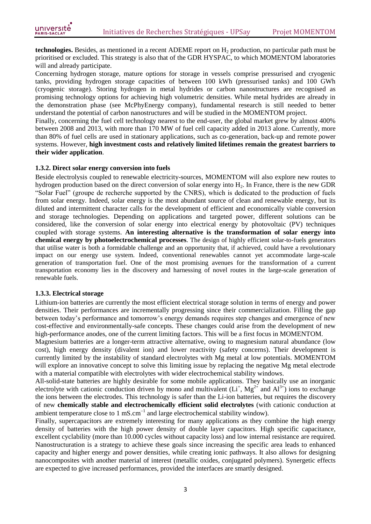**technologies.** Besides, as mentioned in a recent ADEME report on  $H_2$  production, no particular path must be prioritised or excluded. This strategy is also that of the GDR HYSPAC, to which MOMENTOM laboratories will and already participate.

Concerning hydrogen storage, mature options for storage in vessels comprise pressurised and cryogenic tanks, providing hydrogen storage capacities of between 100 kWh (pressurised tanks) and 100 GWh (cryogenic storage). Storing hydrogen in metal hydrides or carbon nanostructures are recognised as promising technology options for achieving high volumetric densities. While metal hydrides are already in the demonstration phase (see McPhyEnergy company), fundamental research is still needed to better understand the potential of carbon nanostructures and will be studied in the MOMENTOM project.

Finally, concerning the fuel cell technology nearest to the end-user, the global market grew by almost 400% between 2008 and 2013, with more than 170 MW of fuel cell capacity added in 2013 alone. Currently, more than 80% of fuel cells are used in stationary applications, such as co-generation, back-up and remote power systems. However, **high investment costs and relatively limited lifetimes remain the greatest barriers to their wider application**.

#### **1.3.2. Direct solar energy conversion into fuels**

Beside electrolysis coupled to renewable electricity-sources, MOMENTOM will also explore new routes to hydrogen production based on the direct conversion of solar energy into  $H<sub>2</sub>$ . In France, there is the new GDR "Solar Fuel" (groupe de recherche supported by the CNRS), which is dedicated to the production of fuels from solar energy. Indeed, solar energy is the most abundant source of clean and renewable energy, but its diluted and intermittent character calls for the development of efficient and economically viable conversion and storage technologies. Depending on applications and targeted power, different solutions can be considered, like the conversion of solar energy into electrical energy by photovoltaic (PV) techniques coupled with storage systems. **An interesting alternative is the transformation of solar energy into chemical energy by photoelectrochemical processes**. The design of highly efficient solar-to-fuels generators that utilise water is both a formidable challenge and an opportunity that, if achieved, could have a revolutionary impact on our energy use system. Indeed, conventional renewables cannot yet accommodate large-scale generation of transportation fuel. One of the most promising avenues for the transformation of a current transportation economy lies in the discovery and harnessing of novel routes in the large-scale generation of renewable fuels.

#### **1.3.3. Electrical storage**

Lithium-ion batteries are currently the most efficient electrical storage solution in terms of energy and power densities. Their performances are incrementally progressing since their commercialization. Filling the gap between today's performance and tomorrow's energy demands requires step changes and emergence of new cost-effective and environmentally-safe concepts. These changes could arise from the development of new high-performance anodes, one of the current limiting factors. This will be a first focus in MOMENTOM.

Magnesium batteries are a longer-term attractive alternative, owing to magnesium natural abundance (low cost), high energy density (divalent ion) and lower reactivity (safety concerns). Their development is currently limited by the instability of standard electrolytes with Mg metal at low potentials. MOMENTOM will explore an innovative concept to solve this limiting issue by replacing the negative Mg metal electrode with a material compatible with electrolytes with wider electrochemical stability windows.

All-solid-state batteries are highly desirable for some mobile applications. They basically use an inorganic electrolyte with cationic conduction driven by mono and multivalent  $(L<sup>+</sup>, Mg<sup>2+</sup>$  and  $Al<sup>3+</sup>)$  ions to exchange the ions between the electrodes. This technology is safer than the Li-ion batteries, but requires the discovery of new **chemically stable and electrochemically efficient solid electrolytes** (with cationic conduction at ambient temperature close to 1 mS.cm<sup>-1</sup> and large electrochemical stability window).

Finally, supercapacitors are extremely interesting for many applications as they combine the high energy density of batteries with the high power density of double layer capacitors. High specific capacitance, excellent cyclability (more than 10.000 cycles without capacity loss) and low internal resistance are required. Nanostructuration is a strategy to achieve these goals since increasing the specific area leads to enhanced capacity and higher energy and power densities, while creating ionic pathways. It also allows for designing nanocomposites with another material of interest (metallic oxides, conjugated polymers). Synergetic effects are expected to give increased performances, provided the interfaces are smartly designed.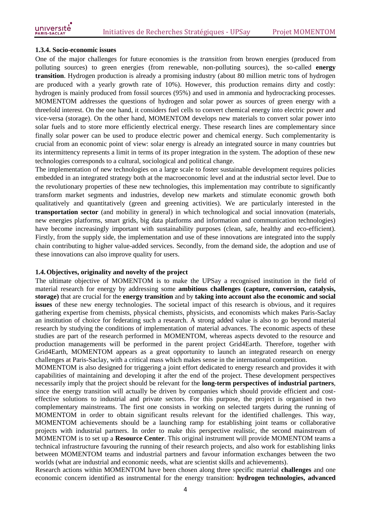#### **1.3.4. Socio-economic issues**

One of the major challenges for future economies is the *transition* from brown energies (produced from polluting sources) to green energies (from renewable, non-polluting sources), the so-called **energy transition**. Hydrogen production is already a promising industry (about 80 million metric tons of hydrogen are produced with a yearly growth rate of 10%). However, this production remains dirty and costly: hydrogen is mainly produced from fossil sources (95%) and used in ammonia and hydrocracking processes. MOMENTOM addresses the questions of hydrogen and solar power as sources of green energy with a threefold interest. On the one hand, it considers fuel cells to convert chemical energy into electric power and vice-versa (storage). On the other hand, MOMENTOM develops new materials to convert solar power into solar fuels and to store more efficiently electrical energy. These research lines are complementary since finally solar power can be used to produce electric power and chemical energy. Such complementarity is crucial from an economic point of view: solar energy is already an integrated source in many countries but its intermittency represents a limit in terms of its proper integration in the system. The adoption of these new technologies corresponds to a cultural, sociological and political change.

The implementation of new technologies on a large scale to foster sustainable development requires policies embedded in an integrated strategy both at the macroeconomic level and at the industrial sector level. Due to the revolutionary properties of these new technologies, this implementation may contribute to significantly transform market segments and industries, develop new markets and stimulate economic growth both qualitatively and quantitatively (green and greening activities). We are particularly interested in the **transportation sector** (and mobility in general) in which technological and social innovation (materials, new energies platforms, smart grids, big data platforms and information and communication technologies) have become increasingly important with sustainability purposes (clean, safe, healthy and eco-efficient). Firstly, from the supply side, the implementation and use of these innovations are integrated into the supply chain contributing to higher value-added services. Secondly, from the demand side, the adoption and use of these innovations can also improve quality for users.

#### **1.4.Objectives, originality and novelty of the project**

The ultimate objective of MOMENTOM is to make the UPSay a recognised institution in the field of material research for energy by addressing some **ambitious challenges (capture, conversion, catalysis, storage)** that are crucial for the **energy transition** and by **taking into account also the economic and social issues** of these new energy technologies. The societal impact of this research is obvious, and it requires gathering expertise from chemists, physical chemists, physicists, and economists which makes Paris-Saclay an institution of choice for federating such a research. A strong added value is also to go beyond material research by studying the conditions of implementation of material advances. The economic aspects of these studies are part of the research performed in MOMENTOM, whereas aspects devoted to the resource and production managements will be performed in the parent project Grid4Earth. Therefore, together with Grid4Earth, MOMENTOM appears as a great opportunity to launch an integrated research on energy challenges at Paris-Saclay, with a critical mass which makes sense in the international competition.

MOMENTOM is also designed for triggering a joint effort dedicated to energy research and provides it with capabilities of maintaining and developing it after the end of the project. These development perspectives necessarily imply that the project should be relevant for the **long-term perspectives of industrial partners**, since the energy transition will actually be driven by companies which should provide efficient and costeffective solutions to industrial and private sectors. For this purpose, the project is organised in two complementary mainstreams. The first one consists in working on selected targets during the running of MOMENTOM in order to obtain significant results relevant for the identified challenges. This way, MOMENTOM achievements should be a launching ramp for establishing joint teams or collaborative projects with industrial partners. In order to make this perspective realistic, the second mainstream of MOMENTOM is to set up a **Resource Center**. This original instrument will provide MOMENTOM teams a technical infrastructure favouring the running of their research projects, and also work for establishing links between MOMENTOM teams and industrial partners and favour information exchanges between the two worlds (what are industrial and economic needs, what are scientist skills and achievements).

Research actions within MOMENTOM have been chosen along three specific material **challenges** and one economic concern identified as instrumental for the energy transition: **hydrogen technologies, advanced**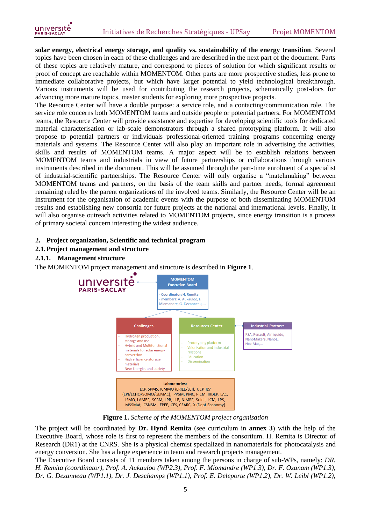**solar energy, electrical energy storage, and quality vs. sustainability of the energy transition**. Several topics have been chosen in each of these challenges and are described in the next part of the document. Parts of these topics are relatively mature, and correspond to pieces of solution for which significant results or proof of concept are reachable within MOMENTOM. Other parts are more prospective studies, less prone to immediate collaborative projects, but which have larger potential to yield technological breakthrough. Various instruments will be used for contributing the research projects, schematically post-docs for advancing more mature topics, master students for exploring more prospective projects.

The Resource Center will have a double purpose: a service role, and a contacting/communication role. The service role concerns both MOMENTOM teams and outside people or potential partners. For MOMENTOM teams, the Resource Center will provide assistance and expertise for developing scientific tools for dedicated material characterisation or lab-scale demonstrators through a shared prototyping platform. It will also propose to potential partners or individuals professional-oriented training programs concerning energy materials and systems. The Resource Center will also play an important role in advertising the activities, skills and results of MOMENTOM teams. A major aspect will be to establish relations between MOMENTOM teams and industrials in view of future partnerships or collaborations through various instruments described in the document. This will be assumed through the part-time enrolment of a specialist of industrial-scientific partnerships. The Resource Center will only organise a "matchmaking" between MOMENTOM teams and partners, on the basis of the team skills and partner needs, formal agreement remaining ruled by the parent organizations of the involved teams. Similarly, the Resource Center will be an instrument for the organisation of academic events with the purpose of both disseminating MOMENTOM results and establishing new consortia for future projects at the national and international levels. Finally, it will also organise outreach activities related to MOMENTOM projects, since energy transition is a process of primary societal concern interesting the widest audience.

#### **2. Project organization, Scientific and technical program**

**2.1.Project management and structure**

### **2.1.1. Management structure**

The MOMENTOM project management and structure is described in **Figure 1**.



**Figure 1.** *Scheme of the MOMENTOM project organisation*

The project will be coordinated by **Dr. Hynd Remita** (see curriculum in **annex 3**) with the help of the Executive Board, whose role is first to represent the members of the consortium. H. Remita is Director of Research (DR1) at the CNRS. She is a physical chemist specialized in nanomaterials for photocatalysis and energy conversion. She has a large experience in team and research projects management.

The Executive Board consists of 11 members taken among the persons in charge of sub-WPs, namely: *DR. H. Remita (coordinator), Prof. A. Aukauloo (WP2.3), Prof. F. Miomandre (WP1.3), Dr. F. Ozanam (WP1.3), Dr. G. Dezanneau (WP1.1), Dr. J. Deschamps (WP1.1), Prof. E. Deleporte (WP1.2), Dr. W. Leibl (WP1.2),*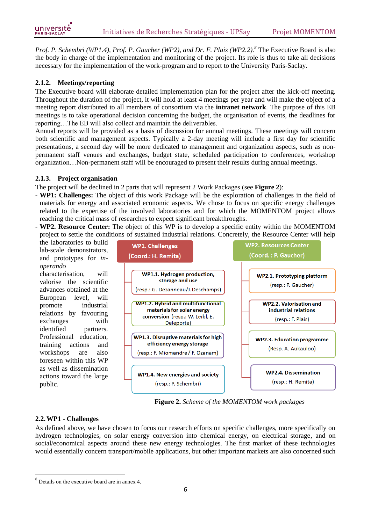*Prof. P. Schembri (WP1.4), Prof. P. Gaucher (WP2), and Dr. F. Plais (WP2.2).<sup>8</sup>* The Executive Board is also the body in charge of the implementation and monitoring of the project. Its role is thus to take all decisions necessary for the implementation of the work-program and to report to the University Paris-Saclay.

# **2.1.2. Meetings/reporting**

The Executive board will elaborate detailed implementation plan for the project after the kick-off meeting. Throughout the duration of the project, it will hold at least 4 meetings per year and will make the object of a meeting report distributed to all members of consortium via the **intranet network**. The purpose of this EB meetings is to take operational decision concerning the budget, the organisation of events, the deadlines for reporting…The EB will also collect and maintain the deliverables.

Annual reports will be provided as a basis of discussion for annual meetings. These meetings will concern both scientific and management aspects. Typically a 2-day meeting will include a first day for scientific presentations, a second day will be more dedicated to management and organization aspects, such as nonpermanent staff venues and exchanges, budget state, scheduled participation to conferences, workshop organization…Non-permanent staff will be encouraged to present their results during annual meetings.

# **2.1.3. Project organisation**

The project will be declined in 2 parts that will represent 2 Work Packages (see **Figure 2**):

- **WP1: Challenges:** The object of this work Package will be the exploration of challenges in the field of materials for energy and associated economic aspects. We chose to focus on specific energy challenges related to the expertise of the involved laboratories and for which the MOMENTOM project allows reaching the critical mass of researches to expect significant breakthroughs.
- **WP2. Resource Center:** The object of this WP is to develop a specific entity within the MOMENTOM project to settle the conditions of sustained industrial relations. Concretely, the Resource Center will help

the laboratories to build lab-scale demonstrators, and prototypes for *inoperando*

characterisation, will valorise the scientific advances obtained at the European level, will promote industrial relations by favouring exchanges with identified partners. Professional education, training actions and workshops are also foreseen within this WP as well as dissemination actions toward the large public.



**Figure 2.** *Scheme of the MOMENTOM work packages*

# **2.2.WP1 - Challenges**

**.** 

As defined above, we have chosen to focus our research efforts on specific challenges, more specifically on hydrogen technologies, on solar energy conversion into chemical energy, on electrical storage, and on social/economical aspects around these new energy technologies. The first market of these technologies would essentially concern transport/mobile applications, but other important markets are also concerned such

<sup>&</sup>lt;sup>8</sup> Details on the executive board are in annex 4.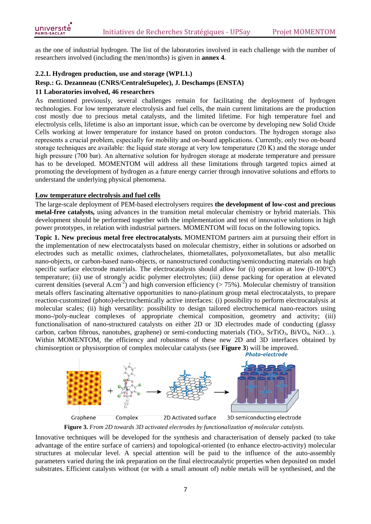as the one of industrial hydrogen. The list of the laboratories involved in each challenge with the number of researchers involved (including the men/months) is given in **annex 4**.

# **2.2.1. Hydrogen production, use and storage (WP1.1.)**

#### **Resp.: G. Dezanneau (CNRS/CentraleSupelec), J. Deschamps (ENSTA)**

#### **11 Laboratories involved, 46 researchers**

As mentioned previously, several challenges remain for facilitating the deployment of hydrogen technologies. For low temperature electrolysis and fuel cells, the main current limitations are the production cost mostly due to precious metal catalysts, and the limited lifetime. For high temperature fuel and electrolysis cells, lifetime is also an important issue, which can be overcome by developing new Solid Oxide Cells working at lower temperature for instance based on proton conductors. The hydrogen storage also represents a crucial problem, especially for mobility and on-board applications. Currently, only two on-board storage techniques are available: the liquid state storage at very low temperature (20 K) and the storage under high pressure (700 bar). An alternative solution for hydrogen storage at moderate temperature and pressure has to be developed. MOMENTOM will address all these limitations through targeted topics aimed at promoting the development of hydrogen as a future energy carrier through innovative solutions and efforts to understand the underlying physical phenomena.

#### **Low temperature electrolysis and fuel cells**

The large-scale deployment of PEM-based electrolysers requires **the development of low-cost and precious metal-free catalysts,** using advances in the transition metal molecular chemistry or hybrid materials. This development should be performed together with the implementation and test of innovative solutions in high power prototypes, in relation with industrial partners. MOMENTOM will focus on the following topics.

**Topic 1. New precious metal free electrocatalysts.** MOMENTOM partners aim at pursuing their effort in the implementation of new electrocatalysts based on molecular chemistry, either in solutions or adsorbed on electrodes such as metallic oximes, clathrochelates, thiometallates, polyoxometallates, but also metallic nano-objects, or carbon-based nano-objects, or nanostructured conducting/semiconducting materials on high specific surface electrode materials. The electrocatalysts should allow for (i) operation at low  $(0-100^{\circ}C)$ temperature; (ii) use of strongly acidic polymer electrolytes; (iii) dense packing for operation at elevated current densities (several A.cm<sup>-2</sup>) and high conversion efficiency ( $> 75\%$ ). Molecular chemistry of transition metals offers fascinating alternative opportunities to nano-platinum group metal electrocatalysts, to prepare reaction-customized (photo)-electrochemically active interfaces: (i) possibility to perform electrocatalysis at molecular scales; (ii) high versatility: possibility to design tailored electrochemical nano-reactors using mono-/poly-nuclear complexes of appropriate chemical composition, geometry and activity; (iii) functionalisation of nano-structured catalysts on either 2D or 3D electrodes made of conducting (glassy carbon, carbon fibrous, nanotubes, graphene) or semi-conducting materials (TiO<sub>2</sub>, SrTiO<sub>3</sub>, BiVO<sub>4</sub>, NiO...). Within MOMENTOM, the efficiency and robustness of these new 2D and 3D interfaces obtained by chimisorption or physisorption of complex molecular catalysts (see **Figure 3**) will be improved.



**Figure 3.** *From 2D towards 3D activated electrodes by functionalization of molecular catalysts.*

Innovative techniques will be developed for the synthesis and characterisation of densely packed (to take advantage of the entire surface of carriers) and topological-oriented (to enhance electro-activity) molecular structures at molecular level. A special attention will be paid to the influence of the auto-assembly parameters varied during the ink preparation on the final electrocatalytic properties when deposited on model substrates. Efficient catalysts without (or with a small amount of) noble metals will be synthesised, and the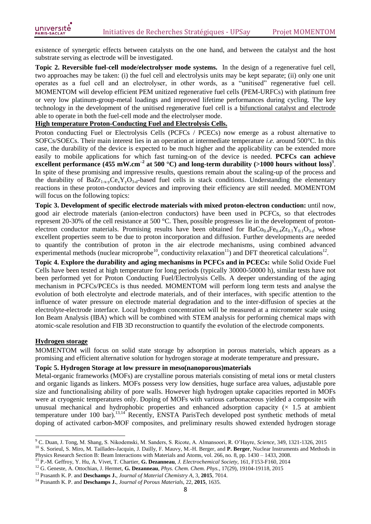existence of synergetic effects between catalysts on the one hand, and between the catalyst and the host substrate serving as electrode will be investigated.

**Topic 2. Reversible fuel-cell mode/electrolyser mode systems.** In the design of a regenerative fuel cell, two approaches may be taken: (i) the fuel cell and electrolysis units may be kept separate; (ii) only one unit operates as a fuel cell and an electrolyser, in other words, as a "unitised" regenerative fuel cell. MOMENTOM will develop efficient PEM unitized regenerative fuel cells (PEM-URFCs) with platinum free or very low platinum-group-metal loadings and improved lifetime performances during cycling. The key technology in the development of the unitised regenerative fuel cell is a bifunctional catalyst and electrode able to operate in both the fuel-cell mode and the electrolyser mode.

### **High temperature Proton-Conducting Fuel and Electrolysis Cells.**

Proton conducting Fuel or Electrolysis Cells (PCFCs / PCECs) now emerge as a robust alternative to SOFCs/SOECs. Their main interest lies in an operation at intermediate temperature *i.e.* around 500°C. In this case, the durability of the device is expected to be much higher and the applicability can be extended more easily to mobile applications for which fast turning-on of the device is needed. **PCFCs can achieve** excellent performance  $(455 \text{ mW.cm}^{-2} \text{ at } 500 \text{ °C})$  and long-term durability  $(>1000 \text{ hours without loss})^9$ . In spite of these promising and impressive results, questions remain about the scaling-up of the process and the durability of  $BaZr_{1-x-y}Ce_xY_yO_{3-d}$ -based fuel cells in stack conditions. Understanding the elementary reactions in these proton-conductor devices and improving their efficiency are still needed. MOMENTOM will focus on the following topics:

**Topic 3. Development of specific electrode materials with mixed proton-electron conduction:** until now, good air electrode materials (anion-electron conductors) have been used in PCFCs, so that electrodes represent 20-30% of the cell resistance at 500 °C. Then, possible progresses lie in the development of protonelectron conductor materials. Promising results have been obtained for  $BaCo_{0.4}Fe_{0.4}Zr_{0.1}^{T}Y_{0.1}O_{3-d}$  whose excellent properties seem to be due to proton incorporation and diffusion. Further developments are needed to quantify the contribution of proton in the air electrode mechanisms, using combined advanced experimental methods (nuclear microprobe<sup>10</sup>, conductivity relaxation<sup>11</sup>) and DFT theoretical calculations<sup>12</sup>.

**Topic 4. Explore the durability and aging mechanisms in PCFCs and in PCECs:** while Solid Oxide Fuel Cells have been tested at high temperature for long periods (typically 30000-50000 h), similar tests have not been performed yet for Proton Conducting Fuel/Electrolysis Cells. A deeper understanding of the aging mechanism in PCFCs/PCECs is thus needed. MOMENTOM will perform long term tests and analyse the evolution of both electrolyte and electrode materials, and of their interfaces, with specific attention to the influence of water pressure on electrode material degradation and to the inter-diffusion of species at the electrolyte-electrode interface. Local hydrogen concentration will be measured at a micrometer scale using Ion Beam Analysis (IBA) which will be combined with STEM analysis for performing chemical maps with atomic-scale resolution and FIB 3D reconstruction to quantify the evolution of the electrode components.

#### **Hydrogen storage**

 $\overline{a}$ 

MOMENTOM will focus on solid state storage by adsorption in porous materials, which appears as a promising and efficient alternative solution for hydrogen storage at moderate temperature and pressure**.**

#### **Topic 5. Hydrogen Storage at low pressure in meso(nanoporous)materials**

Metal-organic frameworks (MOFs) are crystalline porous materials consisting of metal ions or metal clusters and organic ligands as linkers. MOFs possess very low densities, huge surface area values, adjustable pore size and functionalising ability of pore walls. However high hydrogen uptake capacities reported in MOFs were at cryogenic temperatures only. Doping of MOFs with various carbonaceous yielded a composite with unusual mechanical and hydrophobic properties and enhanced adsorption capacity  $(x \ 1.5 \ a$ t ambient temperature under 100 bar).<sup>13,14</sup> Recently, ENSTA ParisTech developed post synthetic methods of metal doping of activated carbon-MOF composites, and preliminary results showed extended hydrogen storage

<sup>9</sup> C. Duan, J. Tong, M. Shang, S. Nikodemski, M. Sanders, S. Ricote, A. Almansoori, R. O'Hayre, *Science*, 349, 1321-1326, 2015 <sup>10</sup> S. Sorieul, S. Miro, M. Taillades-Jacquin, J. Dailly, F. Mauvy, M.-H. Berger, and **P. Berger**, Nuclear Instruments and Methods in

Physics Research Section B: Beam Interactions with Materials and Atoms, vol. 266, no. 8, pp. 1430 – 1433, 2008. <sup>11</sup> P.-M. Geffroy, Y. Hu, A. Vivet, T. Chartier, **G. Dezanneau**, *J. Electrochemical Society*, 161, F153-F160, 2014

<sup>12</sup> G. Geneste, A. Ottochian, J. Hermet, **G. Dezanneau**, *Phys. Chem. Chem. Phys.*, 17(29), 19104-19118, 2015

<sup>13</sup> Prasanth K. P. and **Deschamps J.**, *Journal of Material Chemistry A*, 3, **2015**, 7014.

<sup>14</sup> Prasanth K. P. and **Deschamps J.**, *Journal of Porous Materials*, 22, **2015**, 1635.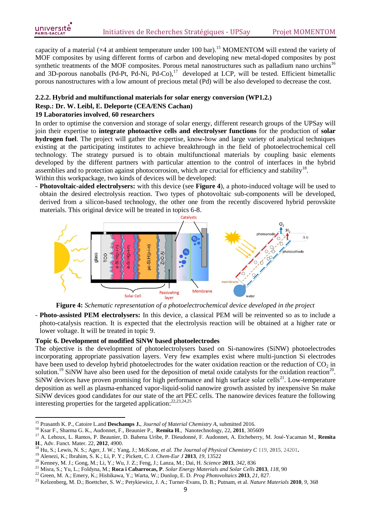**.** 

capacity of a material ( $\times$ 4 at ambient temperature under 100 bar).<sup>15</sup> MOMENTOM will extend the variety of MOF composites by using different forms of carbon and developing new metal-doped composites by post synthetic treatments of the MOF composites. Porous metal nanostructures such as palladium nano urchins<sup>16</sup> and 3D-porous nanoballs (Pd-Pt, Pd-Ni, Pd-Co),<sup>17</sup> developed at LCP, will be tested. Efficient bimetallic porous nanostructures with a low amount of precious metal (Pd) will be also developed to decrease the cost.

#### **2.2.2. Hybrid and multifunctional materials for solar energy conversion (WP1.2.)**

#### **Resp.: Dr. W. Leibl, E. Deleporte (CEA/ENS Cachan)**

#### **19 Laboratories involved**, **60 researchers**

In order to optimise the conversion and storage of solar energy, different research groups of the UPSay will join their expertise to **integrate photoactive cells and electrolyser functions** for the production of **solar hydrogen fuel**. The project will gather the expertise, know-how and large variety of analytical techniques existing at the participating institutes to achieve breakthrough in the field of photoelectrochemical cell technology. The strategy pursued is to obtain multifunctional materials by coupling basic elements developed by the different partners with particular attention to the control of interfaces in the hybrid assemblies and to protection against photocorrosion, which are crucial for efficiency and stability<sup>18</sup>.

Within this workpackage, two kinds of devices will be developed:

- **Photovoltaic-aided electrolysers:** with this device (see **Figure 4**), a photo-induced voltage will be used to obtain the desired electrolysis reaction. Two types of photovoltaic sub-components will be developed, derived from a silicon-based technology, the other one from the recently discovered hybrid perovskite materials. This original device will be treated in topics 6-8.



**Figure 4:** *Schematic representation of a photoelectrochemical device developed in the project*

- **Photo-assisted PEM electrolysers:** In this device, a classical PEM will be reinvented so as to include a photo-catalysis reaction. It is expected that the electrolysis reaction will be obtained at a higher rate or lower voltage. It will be treated in topic 9.

#### **Topic 6. Development of modified SiNW based photoelectrodes**

The objective is the development of photoelectrolysers based on Si-nanowires (SiNW) photoelectrodes incorporating appropriate passivation layers. Very few examples exist where multi-junction Si electrodes have been used to develop hybrid photoelectrodes for the water oxidation reaction or the reduction of  $CO<sub>2</sub>$  in solution.<sup>19</sup> SiNW have also been used for the deposition of metal oxide catalysts for the oxidation reaction<sup>20</sup>.  $S_iNW$  devices have proven promising for high performance and high surface solar cells<sup>21</sup>. Low-temperature deposition as well as plasma-enhanced vapor-liquid-solid nanowire growth assisted by inexpensive Sn make SiNW devices good candidates for our state of the art PEC cells. The nanowire devices feature the following interesting properties for the targeted application:<sup>22,23,24,25</sup>

<sup>15</sup> Prasanth K. P., Catoire L.and **Deschamps J.**, *Journal of Material Chemistry A*, submitted 2016.

<sup>16</sup> Ksar F., Sharma G. K., Audonnet, F., Beaunier P., **Remita H**., Nanotechnology, 22, **2011**, 305609

<sup>17</sup> A. Lehoux, L. Ramos, P. Beaunier, D. Bahena Uribe, P. Dieudonné, F. Audonnet, A. Etcheberry, M. José-Yacaman M., **Remita H**., Adv. Funct. Mater. 22, **2012**, 4900.

<sup>18</sup> Hu, S.; Lewis, N. S.; Ager, J. W.; Yang, J.; McKone, *et al. The Journal of Physical Chemistry C* 119, **2015**, 24201**.**

<sup>19</sup> Alenezi, K.; Ibrahim, S. K.; Li, P. Y.; Pickett, C. J. *Chem-Eur J* **2013**, *19*, 13522

<sup>20</sup> Kenney, M. J.; Gong, M.; Li, Y.; Wu, J. Z.; Feng, J.; Lanza, M.; Dai, H. *Science* **2013**, *342*, 836

<sup>21</sup> Misra, S.; Yu, L.; Foldyna, M.; **Roca i Cabarrocas, P**. *Solar Energy Materials and Solar Cells* **2013**, *118*, 90

<sup>22</sup> Green, M. A.; Emery, K.; Hishikawa, Y.; Warta, W.; Dunlop, E. D. *Prog Photovoltaics* **2013**, *21*, 827.

<sup>23</sup> Kelzenberg, M. D.; Boettcher, S. W.; Petykiewicz, J. A.; Turner-Evans, D. B.; Putnam, et al. *Nature Materials* **2010**, *9*, 368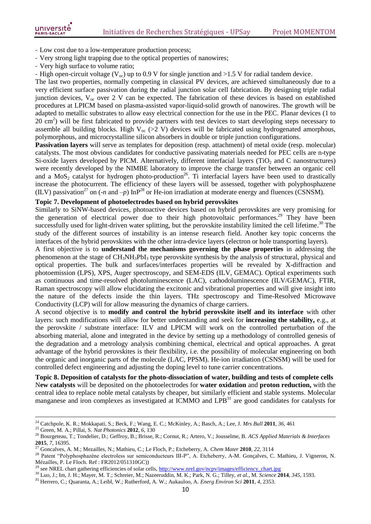- Low cost due to a low-temperature production process;
- Very strong light trapping due to the optical properties of nanowires;
- Very high surface to volume ratio;

- High open-circuit voltage ( $V_{oc}$ ) up to 0.9 V for single junction and >1.5 V for radial tandem device.

The last two properties, normally competing in classical PV devices, are achieved simultaneously due to a very efficient surface passivation during the radial junction solar cell fabrication. By designing triple radial junction devices,  $V_{\infty}$  over 2 V can be expected. The fabrication of these devices is based on established procedures at LPICM based on plasma-assisted vapor-liquid-solid growth of nanowires. The growth will be adapted to metallic substrates to allow easy electrical connection for the use in the PEC. Planar devices (1 to  $20 \text{ cm}^2$ ) will be first fabricated to provide partners with test devices to start developing steps necessary to assemble all building blocks. High  $V_{oc}$  (>2 V) devices will be fabricated using hydrogenated amorphous, polymorphous, and microcrystalline silicon absorbers in double or triple junction configurations.

**Passivation layers** will serve as templates for deposition (resp. attachment) of metal oxide (resp. molecular) catalysts. The most obvious candidates for conductive passivating materials needed for PEC cells are n-type Si-oxide layers developed by PICM. Alternatively, different interfacial layers (TiO<sub>2</sub> and C nanostructures) were recently developed by the NIMBE laboratory to improve the charge transfer between an organic cell and a MoS<sub>2</sub> catalyst for hydrogen photo-production<sup>26</sup>. Ti interfacial layers have been used to drastically increase the photocurrent. The efficiency of these layers will be assessed, together with polyphosphazene (ILV) passivation<sup>27</sup> on  $(-n \text{ and } -p) \text{ In } P^{28}$  or He-ion irradiation at moderate energy and fluences (CSNSM).

# **Topic 7. Development of photoelectrodes based on hybrid perovskites**

Similarly to SiNW-based devices, photoactive devices based on hybrid perovskites are very promising for the generation of electrical power due to their high photovoltaic performances.<sup>29</sup> They have been successfully used for light-driven water splitting, but the perovskite instability limited the cell lifetime.<sup>30</sup> The study of the different sources of instability is an intense research field. Another key topic concerns the interfaces of the hybrid perovskites with the other intra-device layers (electron or hole transporting layers).

A first objective is to **understand the mechanisms governing the phase properties** in addressing the phenomenon at the stage of CH<sub>3</sub>NH<sub>3</sub>PbI<sub>3</sub> type perovskite synthesis by the analysis of structural, physical and optical properties. The bulk and surfaces/interfaces properties will be revealed by X-diffraction and photoemission (LPS), XPS, Auger spectroscopy, and SEM-EDS (ILV, GEMAC). Optical experiments such as continuous and time-resolved photoluminescence (LAC), cathodoluminescence (ILV/GEMAC), FTIR, Raman spectroscopy will allow elucidating the excitonic and vibrational properties and will give insight into the nature of the defects inside the thin layers. THz spectroscopy and Time-Resolved Microwave Conductivity (LCP) will for allow measuring the dynamics of charge carriers.

A second objective is to **modify and control the hybrid perovskite itself and its interface** with other layers: such modifications will allow for better understanding and seek for **increasing the stability,** e.g., at the perovskite / substrate interface: ILV and LPICM will work on the controlled perturbation of the absorbing material, alone and integrated in the device by setting up a methodology of controlled genesis of the degradation and a metrology analysis combining chemical, electrical and optical approaches. A great advantage of the hybrid perovskites is their flexibility, i.e. the possibility of molecular engineering on both the organic and inorganic parts of the molecule (LAC, PPSM). He-ion irradiation (CSNSM) will be used for controlled defect engineering and adjusting the doping level to tune carrier concentrations.

**Topic 8. Deposition of catalysts for the photo-dissociation of water, building and tests of complete cells** N**ew catalysts** will be deposited on the photoelectrodes for **water oxidation** and **proton reduction,** with the central idea to replace noble metal catalysts by cheaper, but similarly efficient and stable systems. Molecular manganese and iron complexes as investigated at ICMMO and LPB<sup>31</sup> are good candidates for catalysts for

 $\overline{a}$ 

<sup>24</sup> Catchpole, K. R.; Mokkapati, S.; Beck, F.; Wang, E. C.; McKinley, A.; Basch, A.; Lee, J. *Mrs Bull* **2011**, *36*, 461

<sup>25</sup> Green, M. A.; Pillai, S. *Nat Photonics* **2012**, *6*, 130

<sup>26</sup> Bourgeteau, T.; Tondelier, D.; Geffroy, B.; Brisse, R.; Cornut, R.; Artero, V.; Jousselme, B. *ACS Applied Materials & Interfaces* **2015**, *7*, 16395.

<sup>27</sup> Goncalves, A. M.; Mezailles, N.; Mathieu, C.; Le Floch, P.; Etcheberry, A. *Chem Mater* **2010**, *22*, 3114

<sup>28</sup> Patent "Polyphosphazène electroless sur semiconducteurs III-P", A. Etcheberry, A-M. Gonçalves, C. Mathieu, J. Vigneron, N. Mézailles, P. Le Floch. Ref : FR2012/051310GC))

see NREL chart gathering efficiencies of solar cells, [http://www.nrel.gov/ncpv/images/efficiency\\_chart.jpg](http://www.nrel.gov/ncpv/images/efficiency_chart.jpg)

<sup>30</sup> Luo, J.; Im, J. H.; Mayer, M. T.; Schreier, M.; Nazeeruddin, M. K.; Park, N. G.; Tilley, *et al.*, M. *Science* **2014**, *345*, 1593.

<sup>31</sup> Herrero, C.; Quaranta, A.; Leibl, W.; Rutherford, A. W.; Aukauloo, A. *Energ Environ Sci* **2011**, *4*, 2353.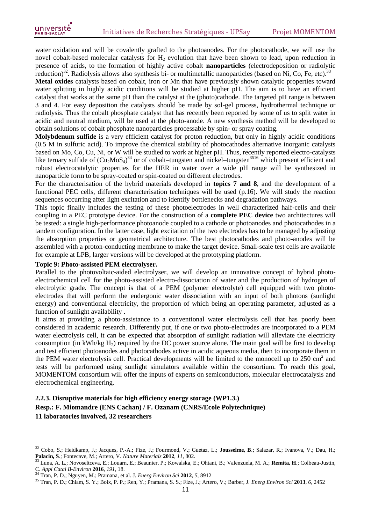water oxidation and will be covalently grafted to the photoanodes. For the photocathode, we will use the novel cobalt-based molecular catalysts for  $H_2$  evolution that have been shown to lead, upon reduction in presence of acids, to the formation of highly active cobalt **nanoparticles** (electrodeposition or radiolytic reduction)<sup>32</sup>. Radiolysis allows also synthesis bi- or multimetallic nanoparticles (based on Ni, Co, Fe, etc).<sup>33</sup>

**Metal oxides** catalysts based on cobalt, iron or Mn that have previously shown catalytic properties toward water splitting in highly acidic conditions will be studied at higher pH. The aim is to have an efficient catalyst that works at the same pH than the catalyst at the (photo)cathode. The targeted pH range is between 3 and 4. For easy deposition the catalysts should be made by sol-gel process, hydrothermal technique or radiolysis. Thus the cobalt phosphate catalyst that has recently been reported by some of us to split water in acidic and neutral medium, will be used at the photo-anode. A new synthesis method will be developed to obtain solutions of cobalt phosphate nanoparticles processable by spin- or spray coating.

**Molybdenum sulfide** is a very efficient catalyst for proton reduction, but only in highly acidic conditions (0.5 M in sulfuric acid). To improve the chemical stability of photocathodes alternative inorganic catalysts based on Mo, Co, Cu, Ni, or W will be studied to work at higher pH. Thus, recently reported electro-catalysts like ternary sulfide of  $(Cu_2MoS_4)^{34}$  or of cobalt–tungsten and nickel–tungsten<sup>3516</sup> which present efficient and robust electrocatalytic properties for the HER in water over a wide pH range will be synthesized in nanoparticle form to be spray-coated or spin-coated on different electrodes.

For the characterisation of the hybrid materials developed in **topics 7 and 8**, and the development of a functional PEC cells, different characterisation techniques will be used (p.16). We will study the reaction sequences occurring after light excitation and to identify bottlenecks and degradation pathways.

This topic finally includes the testing of these photoelectrodes in well characterized half-cells and their coupling in a PEC prototype device. For the construction of a **complete PEC device** two architectures will be tested: a single high-performance photoanode coupled to a cathode or photoanodes and photocathodes in a tandem configuration. In the latter case, light excitation of the two electrodes has to be managed by adjusting the absorption properties or geometrical architecture. The best photocathodes and photo-anodes will be assembled with a proton-conducting membrane to make the target device. Small-scale test cells are available for example at LPB, larger versions will be developed at the prototyping platform.

#### **Topic 9: Photo-assisted PEM electrolyser.**

Parallel to the photovoltaic-aided electrolyser, we will develop an innovative concept of hybrid photoelectrochemical cell for the photo-assisted electro-dissociation of water and the production of hydrogen of electrolytic grade. The concept is that of a PEM (polymer electrolyte) cell equipped with two photoelectrodes that will perform the endergonic water dissociation with an input of both photons (sunlight energy) and conventional electricity, the proportion of which being an operating parameter, adjusted as a function of sunlight availability .

It aims at providing a photo-assistance to a conventional water electrolysis cell that has poorly been considered in academic research. Differently put, if one or two photo-electrodes are incorporated to a PEM water electrolysis cell, it can be expected that absorption of sunlight radiation will alleviate the electricity consumption (in kWh/kg  $H_2$ ) required by the DC power source alone. The main goal will be first to develop and test efficient photoanodes and photocathodes active in acidic aqueous media, then to incorporate them in the PEM water electrolysis cell. Practical developments will be limited to the monocell up to  $250 \text{ cm}^2$  and tests will be performed using sunlight simulators available within the consortium. To reach this goal, MOMENTOM consortium will offer the inputs of experts on semiconductors, molecular electrocatalysis and electrochemical engineering.

# **2.2.3. Disruptive materials for high efficiency energy storage (WP1.3.) Resp.: F. Miomandre (ENS Cachan) / F. Ozanam (CNRS/Ecole Polytechnique) 11 laboratories involved, 32 researchers**

 $\overline{a}$ 

<sup>32</sup> Cobo, S.; Heidkamp, J.; Jacques, P.-A.; Fize, J.; Fourmond, V.; Guetaz, L.; **Jousselme, B**.; Salazar, R.; Ivanova, V.; Dau, H.; **Palacin, S**.; Fontecave, M.; Artero, V. *Nature Materials* **2012**, *11*, 802.

<sup>33</sup> Luna, A. L.; Novoseltceva, E.; Louarn, E.; Beaunier, P.; Kowalska, E.; Ohtani, B.; Valenzuela, M. A.; **Remita, H**.; Colbeau-Justin, C. *Appl Catal B-Environ* **2016**, *191*, 18.

<sup>34</sup> Tran, P. D.; Nguyen, M.; Pramana, et al. J. *Energ Environ Sci* **2012**, *5*, 8912

<sup>35</sup> Tran, P. D.; Chiam, S. Y.; Boix, P. P.; Ren, Y.; Pramana, S. S.; Fize, J.; Artero, V.; Barber, J. *Energ Environ Sci* **2013**, *6*, 2452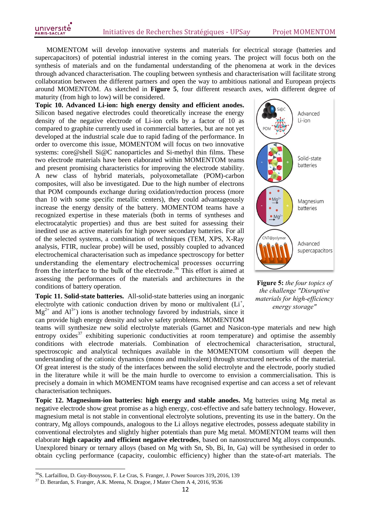MOMENTOM will develop innovative systems and materials for electrical storage (batteries and supercapacitors) of potential industrial interest in the coming years. The project will focus both on the synthesis of materials and on the fundamental understanding of the phenomena at work in the devices through advanced characterisation. The coupling between synthesis and characterisation will facilitate strong collaboration between the different partners and open the way to ambitious national and European projects around MOMENTOM. As sketched in **Figure 5**, four different research axes, with different degree of maturity (from high to low) will be considered.

**Topic 10. Advanced Li-ion: high energy density and efficient anodes.** Silicon based negative electrodes could theoretically increase the energy density of the negative electrode of Li-ion cells by a factor of 10 as compared to graphite currently used in commercial batteries, but are not yet developed at the industrial scale due to rapid fading of the performance. In order to overcome this issue, MOMENTOM will focus on two innovative systems: core@shell Si@C nanoparticles and Si-methyl thin films. These two electrode materials have been elaborated within MOMENTOM teams and present promising characteristics for improving the electrode stability. A new class of hybrid materials, polyoxometallate (POM)-carbon composites, will also be investigated. Due to the high number of electrons that POM compounds exchange during oxidation/reduction process (more than 10 with some specific metallic centers), they could advantageously increase the energy density of the battery. MOMENTOM teams have a recognized expertise in these materials (both in terms of syntheses and electrocatalytic properties) and thus are best suited for assessing their inedited use as active materials for high power secondary batteries. For all of the selected systems, a combination of techniques (TEM, XPS, X-Ray analysis, FTIR, nuclear probe) will be used, possibly coupled to advanced electrochemical characterisation such as impedance spectroscopy for better understanding the elementary electrochemical processes occurring from the interface to the bulk of the electrode.<sup>36</sup> This effort is aimed at assessing the performances of the materials and architectures in the conditions of battery operation.

**Topic 11. Solid-state batteries.** All-solid-state batteries using an inorganic electrolyte with cationic conduction driven by mono or multivalent  $(L<sup>+</sup>,$  $Mg^{2+}$  and  $Al^{3+}$ ) ions is another technology favored by industrials, since it can provide high energy density and solve safety problems. MOMENTOM



**Figure 5:** *the four topics of the challenge "Disruptive materials for high-efficiency energy storage"*

teams will synthesize new solid electrolyte materials (Garnet and Nasicon-type materials and new high entropy oxides $37$  exhibiting superionic conductivities at room temperature) and optimise the assembly conditions with electrode materials. Combination of electrochemical characterisation, structural, spectroscopic and analytical techniques available in the MOMENTOM consortium will deepen the understanding of the cationic dynamics (mono and multivalent) through structured networks of the material. Of great interest is the study of the interfaces between the solid electrolyte and the electrode, poorly studied in the literature while it will be the main hurdle to overcome to envision a commercialisation. This is precisely a domain in which MOMENTOM teams have recognised expertise and can access a set of relevant characterisation techniques.

**Topic 12. Magnesium-ion batteries: high energy and stable anodes.** Mg batteries using Mg metal as negative electrode show great promise as a high energy, cost-effective and safe battery technology. However, magnesium metal is not stable in conventional electrolyte solutions, preventing its use in the battery. On the contrary, Mg alloys compounds, analogous to the Li alloys negative electrodes, possess adequate stability in conventional electrolytes and slightly higher potentials than pure Mg metal. MOMENTOM teams will then elaborate **high capacity and efficient negative electrodes**, based on nanostructured Mg alloys compounds. Unexplored binary or ternary alloys (based on Mg with Sn, Sb, Bi, In, Ga) will be synthesised in order to obtain cycling performance (capacity, coulombic efficiency) higher than the state-of-art materials. The

**.** 

<sup>36</sup>S. Larfaillou, D. Guy-Bouyssou, F. Le Cras, S. Franger, J. Power Sources 319**,** 2016, 139

<sup>37</sup> D. Berardan, S. Franger, A.K. Meena, N. Dragoe, J Mater Chem A 4, 2016, 9536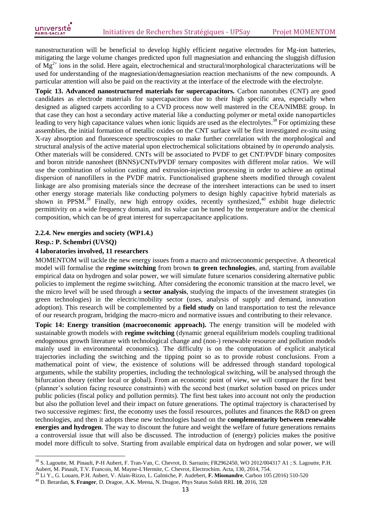nanostructuration will be beneficial to develop highly efficient negative electrodes for Mg-ion batteries, mitigating the large volume changes predicted upon full magnesiation and enhancing the sluggish diffusion of Mg2+ ions in the solid. Here again, electrochemical and structural/morphological characterizations will be used for understanding of the magnesiation/demagnesiation reaction mechanisms of the new compounds. A particular attention will also be paid on the reactivity at the interface of the electrode with the electrolyte.

**Topic 13. Advanced nanostructured materials for supercapacitors.** Carbon nanotubes (CNT) are good candidates as electrode materials for supercapacitors due to their high specific area, especially when designed as aligned carpets according to a CVD process now well mastered in the CEA/NIMBE group. In that case they can host a secondary active material like a conducting polymer or metal oxide nanoparticles leading to very high capacitance values when ionic liquids are used as the electrolytes.<sup>38</sup> For optimizing these assemblies, the initial formation of metallic oxides on the CNT surface will be first investigated *ex-situ* using X-ray absorption and fluorescence spectroscopies to make further correlation with the morphological and structural analysis of the active material upon electrochemical solicitations obtained by *in operando* analysis. Other materials will be considered. CNTs will be associated to PVDF to get CNT/PVDF binary composites and boron nitride nanosheet (BNNS)/CNTs/PVDF ternary composites with different molar ratios. We will use the combination of solution casting and extrusion-injection processing in order to achieve an optimal dispersion of nanofillers in the PVDF matrix. Functionalised graphene sheets modified through covalent linkage are also promising materials since the decrease of the intersheet interactions can be used to insert other energy storage materials like conducting polymers to design highly capacitive hybrid materials as shown in PPSM.<sup>39</sup> Finally, new high entropy oxides, recently synthesized,<sup>40</sup> exhibit huge dielectric permittivity on a wide frequency domain, and its value can be tuned by the temperature and/or the chemical composition, which can be of great interest for supercapacitance applications.

#### **2.2.4. New energies and society (WP1.4.)**

**Resp.: P. Schembri (UVSQ)**

**.** 

#### **4 laboratories involved, 11 researchers**

MOMENTOM will tackle the new energy issues from a macro and microeconomic perspective. A theoretical model will formalise the **regime switching** from brown **to green technologies**, and, starting from available empirical data on hydrogen and solar power, we will simulate future scenarios considering alternative public policies to implement the regime switching. After considering the economic transition at the macro level, we the micro level will be used through a **sector analysis**, studying the impacts of the investment strategies (in green technologies) in the electric/mobility sector (uses, analysis of supply and demand, innovation adoption). This research will be complemented by a **field study** on land transportation to test the relevance of our research program, bridging the macro-micro and normative issues and contributing to their relevance.

**Topic 14: Energy transition (macroeconomic approach).** The energy transition will be modeled with sustainable growth models with **regime switching** (dynamic general equilibrium models coupling traditional endogenous growth literature with technological change and (non-) renewable resource and pollution models mainly used in environmental economics). The difficulty is on the computation of explicit analytical trajectories including the switching and the tipping point so as to provide robust conclusions. From a mathematical point of view, the existence of solutions will be addressed through standard topological arguments, while the stability properties, including the technological switching, will be analysed through the bifurcation theory (either local or global). From an economic point of view, we will compare the first best (planner's solution facing resource constraints) with the second best (market solution based on prices under public policies (fiscal policy and pollution permits). The first best takes into account not only the production but also the pollution level and their impact on future generations. The optimal trajectory is characterised by two successive regimes: first, the economy uses the fossil resources, pollutes and finances the R&D on green technologies, and then it adopts these new technologies based on the **complementarity between renewable energies and hydrogen**. The way to discount the future and weight the welfare of future generations remains a controversial issue that will also be discussed. The introduction of (energy) policies makes the positive model more difficult to solve. Starting from available empirical data on hydrogen and solar power, we will

<sup>38</sup> S. Lagoutte, M. Pinault, P-H Aubert, F. Tran-Van, C. Chevrot, D. Sarrazin; FR2962450, WO 2012/004317 A1 ; S. Lagoutte, P.H. Aubert, M. Pinault, T.V. Francois, M. Mayne-L'Hermite, C. Chevrot, Electrochim. Acta, 130, 2014, 754.

<sup>39</sup> Li Y., G. Louarn, P.H. Aubert, V. Alain-Rizzo, L. Galmiche, P. Audebert, **F. Miomandre**, Carbon 105 (2016) 510-520

<sup>40</sup> D. Berardan, **S. Franger**, D. Dragoe, A.K. Meena, N. Dragoe, Phys Status Solidi RRL **10**, 2016, 328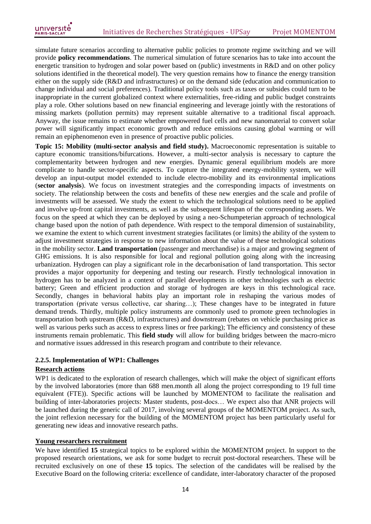simulate future scenarios according to alternative public policies to promote regime switching and we will provide **policy recommendations**. The numerical simulation of future scenarios has to take into account the energetic transition to hydrogen and solar power based on (public) investments in R&D and on other policy solutions identified in the theoretical model). The very question remains how to finance the energy transition either on the supply side (R&D and infrastructures) or on the demand side (education and communication to change individual and social preferences). Traditional policy tools such as taxes or subsides could turn to be inappropriate in the current globalized context where externalities, free-riding and public budget constraints play a role. Other solutions based on new financial engineering and leverage jointly with the restorations of missing markets (pollution permits) may represent suitable alternative to a traditional fiscal approach. Anyway, the issue remains to estimate whether empowered fuel cells and new nanomaterial to convert solar power will significantly impact economic growth and reduce emissions causing global warming or will remain an epiphenomenon even in presence of proactive public policies.

**Topic 15: Mobility (multi-sector analysis and field study).** Macroeconomic representation is suitable to capture economic transitions/bifurcations. However, a multi-sector analysis is necessary to capture the complementarity between hydrogen and new energies. Dynamic general equilibrium models are more complicate to handle sector-specific aspects. To capture the integrated energy-mobility system, we will develop an input-output model extended to include electro-mobility and its environmental implications (**sector analysis**). We focus on investment strategies and the corresponding impacts of investments on society. The relationship between the costs and benefits of these new energies and the scale and profile of investments will be assessed. We study the extent to which the technological solutions need to be applied and involve up-front capital investments, as well as the subsequent lifespan of the corresponding assets. We focus on the speed at which they can be deployed by using a neo-Schumpeterian approach of technological change based upon the notion of path dependence. With respect to the temporal dimension of sustainability, we examine the extent to which current investment strategies facilitates (or limits) the ability of the system to adjust investment strategies in response to new information about the value of these technological solutions in the mobility sector. **Land transportation** (passenger and merchandise) is a major and growing segment of GHG emissions. It is also responsible for local and regional pollution going along with the increasing urbanization. Hydrogen can play a significant role in the decarbonisation of land transportation. This sector provides a major opportunity for deepening and testing our research. Firstly technological innovation in hydrogen has to be analyzed in a context of parallel developments in other technologies such as electric battery; Green and efficient production and storage of hydrogen are keys in this technological race. Secondly, changes in behavioral habits play an important role in reshaping the various modes of transportation (private versus collective, car sharing…); These changes have to be integrated in future demand trends. Thirdly, multiple policy instruments are commonly used to promote green technologies in transportation both upstream (R&D, infrastructures) and downstream (rebates on vehicle purchasing price as well as various perks such as access to express lines or free parking); The efficiency and consistency of these instruments remain problematic. This **field study** will allow for building bridges between the macro-micro and normative issues addressed in this research program and contribute to their relevance.

# **2.2.5. Implementation of WP1: Challenges**

#### **Research actions**

WP1 is dedicated to the exploration of research challenges, which will make the object of significant efforts by the involved laboratories (more than 688 men.month all along the project corresponding to 19 full time equivalent (FTE)). Specific actions will be launched by MOMENTOM to facilitate the realisation and building of inter-laboratories projects: Master students, post-docs… We expect also that ANR projects will be launched during the generic call of 2017, involving several groups of the MOMENTOM project. As such, the joint reflexion necessary for the building of the MOMENTOM project has been particularly useful for generating new ideas and innovative research paths.

#### **Young researchers recruitment**

We have identified **15** strategical topics to be explored within the MOMENTOM project. In support to the proposed research orientations, we ask for some budget to recruit post-doctoral researchers. These will be recruited exclusively on one of these **15** topics. The selection of the candidates will be realised by the Executive Board on the following criteria: excellence of candidate, inter-laboratory character of the proposed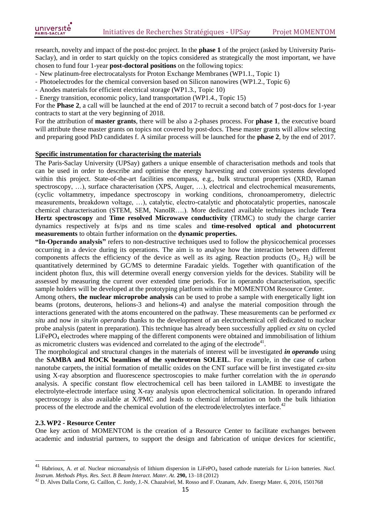research, novelty and impact of the post-doc project. In the **phase 1** of the project (asked by University Paris-Saclay), and in order to start quickly on the topics considered as strategically the most important, we have chosen to fund four 1-year **post-doctoral positions** on the following topics:

- New platinum-free electrocatalysts for Proton Exchange Membranes (WP1.1., Topic 1)
- Photoelectrodes for the chemical conversion based on Silicon nanowires (WP1.2., Topic 6)
- Anodes materials for efficient electrical storage (WP1.3., Topic 10)
- Energy transition, economic policy, land transportation (WP1.4., Topic 15)

For the **Phase 2**, a call will be launched at the end of 2017 to recruit a second batch of 7 post-docs for 1-year contracts to start at the very beginning of 2018.

For the attribution of **master grants**, there will be also a 2-phases process. For **phase 1**, the executive board will attribute these master grants on topics not covered by post-docs. These master grants will allow selecting and preparing good PhD candidates f. A similar process will be launched for the **phase 2**, by the end of 2017.

# **Specific instrumentation for characterising the materials**

The Paris-Saclay University (UPSay) gathers a unique ensemble of characterisation methods and tools that can be used in order to describe and optimise the energy harvesting and conversion systems developed within this project. State-of-the-art facilities encompass, e.g., bulk structural properties (XRD, Raman spectroscopy, ...), surface characterisation (XPS, Auger, ...), electrical and electrochemical measurements, (cyclic voltammetry, impedance spectroscopy in working conditions, chronoamperometry, dielectric measurements, breakdown voltage, …), catalytic, electro-catalytic and photocatalytic properties, nanoscale chemical characterisation (STEM, SEM, NanoIR….). More dedicated available techniques include **Tera Hertz spectroscopy** and **Time resolved Microwave conductivity** (TRMC) to study the charge carrier dynamics respectively at fs/ps and ns time scales and **time-resolved optical and photocurrent measurements** to obtain further information on the **dynamic properties.**

**"In-Operando analysis"** refers to non-destructive techniques used to follow the physicochemical processes occurring in a device during its operations. The aim is to analyse how the interaction between different components affects the efficiency of the device as well as its aging. Reaction products  $(O_2, H_2)$  will be quantitatively determined by GC/MS to determine Faradaic yields. Together with quantification of the incident photon flux, this will determine overall energy conversion yields for the devices. Stability will be assessed by measuring the current over extended time periods. For in operando characterisation, specific sample holders will be developed at the prototyping platform within the MOMENTOM Resource Center.

Among others, **the nuclear microprobe analysis** can be used to probe a sample with energetically light ion beams (protons, deuterons, helions-3 and helions-4) and analyse the material composition through the interactions generated with the atoms encountered on the pathway. These measurements can be performed *ex situ* and now *in situ/in operando* thanks to the development of an electrochemical cell dedicated to nuclear probe analysis (patent in preparation). This technique has already been successfully applied *ex situ* on cycled LiFePO<sub>4</sub> electrodes where mapping of the different components were obtained and immobilisation of lithium as micrometric clusters was evidenced and correlated to the aging of the electrode $41$ .

The morphological and structural changes in the materials of interest will be investigated *in operando* using the **SAMBA and ROCK beamlines of the synchrotron SOLEIL**. For example, in the case of carbon nanotube carpets, the initial formation of metallic oxides on the CNT surface will be first investigated *ex-situ* using X-ray absorption and fluorescence spectroscopies to make further correlation with the *in operando* analysis. A specific constant flow electrochemical cell has been tailored in LAMBE to investigate the electrolyte-electrode interface using X-ray analysis upon electrochemical solicitation. In operando infrared spectroscopy is also available at X/PMC and leads to chemical information on both the bulk lithiation process of the electrode and the chemical evolution of the electrode/electrolytes interface.<sup>42</sup>

#### **2.3.WP2 - Resource Center**

1

One key action of MOMENTOM is the creation of a Resource Center to facilitate exchanges between academic and industrial partners, to support the design and fabrication of unique devices for scientific,

<sup>&</sup>lt;sup>41</sup> Habrioux, A. *et al.* Nuclear microanalysis of lithium dispersion in LiFePO<sub>4</sub> based cathode materials for Li-ion batteries. *Nucl. Instrum. Methods Phys. Res. Sect. B Beam Interact. Mater. At.* **290,** 13–18 (2012)

<sup>&</sup>lt;sup>42</sup> D. Alves Dalla Corte, G. Caillon, C. Jordy, J.-N. Chazalviel, M. Rosso and F. Ozanam, Adv. Energy Mater. 6, 2016, 1501768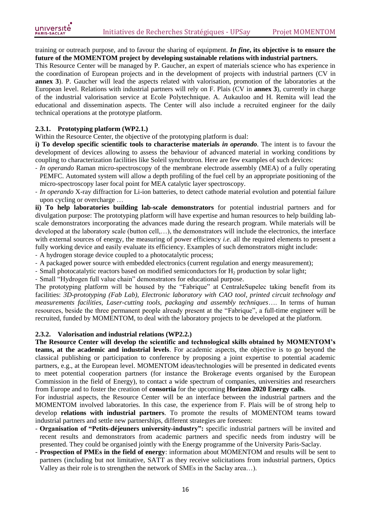training or outreach purpose, and to favour the sharing of equipment. *In fine***, its objective is to ensure the future of the MOMENTOM project by developing sustainable relations with industrial partners.**

This Resource Center will be managed by P. Gaucher, an expert of materials science who has experience in the coordination of European projects and in the development of projects with industrial partners (CV in **annex 3**). P. Gaucher will lead the aspects related with valorisation, promotion of the laboratories at the European level. Relations with industrial partners will rely on F. Plais (CV in **annex 3**), currently in charge of the industrial valorisation service at Ecole Polytechnique. A. Aukauloo and H. Remita will lead the educational and dissemination aspects. The Center will also include a recruited engineer for the daily technical operations at the prototype platform.

# **2.3.1. Prototyping platform (WP2.1.)**

Within the Resource Center, the objective of the prototyping platform is dual:

**i) To develop specific scientific tools to characterise materials** *in operando*. The intent is to favour the development of devices allowing to assess the behaviour of advanced material in working conditions by coupling to characterization facilities like Soleil synchrotron. Here are few examples of such devices:

- *In operando* Raman micro-spectroscopy of the membrane electrode assembly (MEA) of a fully operating PEMFC. Automated system will allow a depth profiling of the fuel cell by an appropriate positioning of the micro-spectroscopy laser focal point for MEA catalytic layer spectroscopy.
- *In operando* X-ray diffraction for Li-ion batteries, to detect cathode material evolution and potential failure upon cycling or overcharge …

**ii) To help laboratories building lab-scale demonstrators** for potential industrial partners and for divulgation purpose: The prototyping platform will have expertise and human resources to help building labscale demonstrators incorporating the advances made during the research program. While materials will be developed at the laboratory scale (button cell,…), the demonstrators will include the electronics, the interface with external sources of energy, the measuring of power efficiency *i.e.* all the required elements to present a fully working device and easily evaluate its efficiency. Examples of such demonstrators might include:

- A hydrogen storage device coupled to a photocatalytic process;
- A packaged power source with embedded electronics (current regulation and energy measurement);
- Small photocatalytic reactors based on modified semiconductors for H<sub>2</sub> production by solar light;
- Small "Hydrogen full value chain" demonstrators for educational purpose.

The prototyping platform will be housed by the "Fabrique" at CentraleSupelec taking benefit from its facilities: *3D-prototyping (Fab Lab), Electronic laboratory with CAO tool, printed circuit technology and measurements facilities, Laser-cutting tools, packaging and assembly techniques*…. In terms of human resources, beside the three permanent people already present at the "Fabrique", a full-time engineer will be recruited, funded by MOMENTOM, to deal with the laboratory projects to be developed at the platform.

#### **2.3.2. Valorisation and industrial relations (WP2.2.)**

**The Resource Center will develop the scientific and technological skills obtained by MOMENTOM's teams, at the academic and industrial levels**. For academic aspects, the objective is to go beyond the classical publishing or participation to conference by proposing a joint expertise to potential academic partners, e.g., at the European level. MOMENTOM ideas/technologies will be presented in dedicated events to meet potential cooperation partners (for instance the Brokerage events organised by the European Commission in the field of Energy), to contact a wide spectrum of companies, universities and researchers from Europe and to foster the creation of **consortia** for the upcoming **Horizon 2020 Energy calls**.

For industrial aspects, the Resource Center will be an interface between the industrial partners and the MOMENTOM involved laboratories. In this case, the experience from F. Plais will be of strong help to develop **relations with industrial partners**. To promote the results of MOMENTOM teams toward industrial partners and settle new partnerships, different strategies are foreseen:

- **Organisation of "Petits-déjeuners university-industry":** specific industrial partners will be invited and recent results and demonstrators from academic partners and specific needs from industry will be presented. They could be organised jointly with the Energy programme of the University Paris-Saclay.
- **Prospection of PMEs in the field of energy**: information about MOMENTOM and results will be sent to partners (including but not limitative, SATT as they receive solicitations from industrial partners, Optics Valley as their role is to strengthen the network of SMEs in the Saclay area…).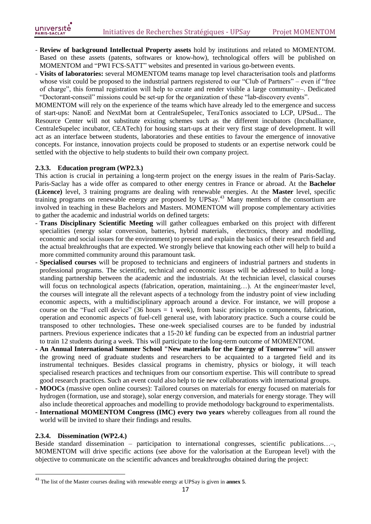- **Review of background Intellectual Property assets** hold by institutions and related to MOMENTOM. Based on these assets (patents, softwares or know-how), technological offers will be published on MOMENTOM and "PWI FCS-SATT" websites and presented in various go-between events.
- **Visits of laboratories:** several MOMENTOM teams manage top level characterisation tools and platforms whose visit could be proposed to the industrial partners registered to our "Club of Partners" – even if "free of charge", this formal registration will help to create and render visible a large community–. Dedicated "Doctorant-conseil" missions could be set-up for the organization of these "lab-discovery events".

MOMENTOM will rely on the experience of the teams which have already led to the emergence and success of start-ups: NanoE and NextMat born at CentraleSupelec, TeraTonics associated to LCP, UPSud... The Resource Center will not substitute existing schemes such as the different incubators (Incuballiance, CentraleSupelec incubator, CEATech) for housing start-ups at their very first stage of development. It will act as an interface between students, laboratories and these entities to favour the emergence of innovative concepts. For instance, innovation projects could be proposed to students or an expertise network could be settled with the objective to help students to build their own company project.

#### **2.3.3. Education program (WP2.3.)**

This action is crucial in pertaining a long-term project on the energy issues in the realm of Paris-Saclay. Paris-Saclay has a wide offer as compared to other energy centres in France or abroad. At the **Bachelor (Licence)** level, 3 training programs are dealing with renewable energies. At the **Master** level, specific training programs on renewable energy are proposed by UPSay.<sup>43</sup> Many members of the consortium are involved in teaching in these Bachelors and Masters. MOMENTOM will propose complementary activities to gather the academic and industrial worlds on defined targets:

- **Trans Disciplinary Scientific Meeting** will gather colleagues embarked on this project with different specialities (energy solar conversion, batteries, hybrid materials, electronics, theory and modelling, economic and social issues for the environment) to present and explain the basics of their research field and the actual breakthroughs that are expected. We strongly believe that knowing each other will help to build a more committed community around this paramount task.
- **Specialised courses** will be proposed to technicians and engineers of industrial partners and students in professional programs. The scientific, technical and economic issues will be addressed to build a longstanding partnership between the academic and the industrials. At the technician level, classical courses will focus on technological aspects (fabrication, operation, maintaining...). At the engineer/master level, the courses will integrate all the relevant aspects of a technology from the industry point of view including economic aspects, with a multidisciplinary approach around a device. For instance, we will propose a course on the "Fuel cell device" (36 hours  $= 1$  week), from basic principles to components, fabrication, operation and economic aspects of fuel-cell general use, with laboratory practice. Such a course could be transposed to other technologies**.** These one-week specialised courses are to be funded by industrial partners. Previous experience indicates that a 15-20 k€ funding can be expected from an industrial partner to train 12 students during a week. This will participate to the long-term outcome of MOMENTOM.
- **An Annual International Summer School "New materials for the Energy of Tomorrow"** will answer the growing need of graduate students and researchers to be acquainted to a targeted field and its instrumental techniques. Besides classical programs in chemistry, physics or biology, it will teach specialised research practices and techniques from our consortium expertise. This will contribute to spread good research practices. Such an event could also help to tie new collaborations with international groups.
- **MOOCs** (massive open online courses): Tailored courses on materials for energy focused on materials for hydrogen (formation, use and storage), solar energy conversion, and materials for energy storage. They will also include theoretical approaches and modelling to provide methodology background to experimentalists.
- **International MOMENTOM Congress (IMC) every two years** whereby colleagues from all round the world will be invited to share their findings and results.

#### **2.3.4. Dissemination (WP2.4.)**

**.** 

Beside standard dissemination – participation to international congresses, scientific publications…–, MOMENTOM will drive specific actions (see above for the valorisation at the European level) with the objective to communicate on the scientific advances and breakthroughs obtained during the project:

<sup>43</sup> The list of the Master courses dealing with renewable energy at UPSay is given in **annex 5**.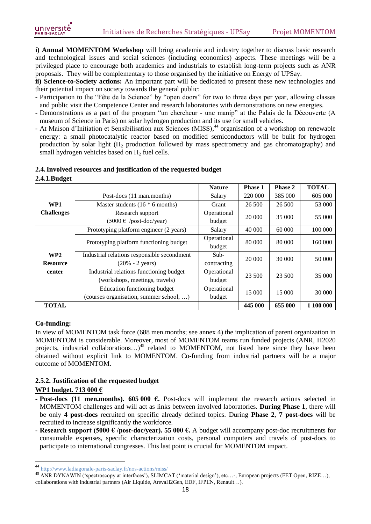**i) Annual MOMENTOM Workshop** will bring academia and industry together to discuss basic research and technological issues and social sciences (including economics) aspects. These meetings will be a privileged place to encourage both academics and industrials to establish long-term projects such as ANR proposals. They will be complementary to those organised by the initiative on Energy of UPSay.

**ii) Science-to-Society actions:** An important part will be dedicated to present these new technologies and their potential impact on society towards the general public:

- Participation to the "Fête de la Science" by "open doors" for two to three days per year, allowing classes and public visit the Competence Center and research laboratories with demonstrations on new energies.
- Demonstrations as a part of the program "un chercheur une manip" at the Palais de la Découverte (A museum of Science in Paris) on solar hydrogen production and its use for small vehicles.
- At Maison d'Initiation et Sensibilisation aux Sciences (MISS), <sup>44</sup> organisation of a workshop on renewable energy: a small photocatalytic reactor based on modified semiconductors will be built for hydrogen production by solar light  $(H<sub>2</sub>$  production followed by mass spectrometry and gas chromatography) and small hydrogen vehicles based on  $H_2$  fuel cells.

# **2.4.Involved resources and justification of the requested budget**

**2.4.1.Budget**

|                   |                                             | <b>Nature</b> | <b>Phase 1</b> | <b>Phase 2</b> | <b>TOTAL</b> |
|-------------------|---------------------------------------------|---------------|----------------|----------------|--------------|
|                   | Post-docs (11 man.months)                   | Salary        | 220 000        | 385 000        | 605 000      |
| WP1               | Master students $(16 * 6$ months)           | Grant         | 26 500         | 26 500         | 53 000       |
| <b>Challenges</b> | Research support                            | Operational   | 20 000         | 35 000         | 55 000       |
|                   | $(5000 \text{ } \in \text{/post-doc/year})$ | budget        |                |                |              |
|                   | Prototyping platform engineer (2 years)     | Salary        | 40 000         | 60 000         | 100 000      |
|                   | Prototyping platform functioning budget     | Operational   | 80 000         | 80 000         | 160 000      |
|                   |                                             | budget        |                |                |              |
| WP2               | Industrial relations responsible secondment | $Sub-$        | 20 000         | 30 000         | 50 000       |
| <b>Resource</b>   | $(20\% - 2 \text{ years})$                  | contracting   |                |                |              |
| center            | Industrial relations functioning budget     | Operational   | 23 500         | 23 500         | 35 000       |
|                   | (workshops, meetings, travels)              | budget        |                |                |              |
|                   | Education functioning budget                | Operational   | 15 000         | 15 000         | 30 000       |
|                   | (courses organisation, summer school, )     | budget        |                |                |              |
| <b>TOTAL</b>      |                                             |               | 445 000        | 655 000        | 1 100 000    |

#### **Co-funding:**

**.** 

In view of MOMENTOM task force (688 men.months; see annex 4) the implication of parent organization in MOMENTOM is considerable. Moreover, most of MOMENTOM teams run funded projects (ANR, H2020 projects, industrial collaborations...)<sup>45</sup> related to MOMENTOM, not listed here since they have been obtained without explicit link to MOMENTOM. Co-funding from industrial partners will be a major outcome of MOMENTOM.

# **2.5.2. Justification of the requested budget**

#### **WP1 budget. 713 000 €**

- **Post-docs (11 men.months). 605 000 €.** Post-docs will implement the research actions selected in MOMENTOM challenges and will act as links between involved laboratories. **During Phase 1**, there will be only **4 post-docs** recruited on specific already defined topics. During **Phase 2**, **7 post-docs** will be recruited to increase significantly the workforce.
- **Research support (5000 € /post-doc/year). 55 000 €.** A budget will accompany post-doc recruitments for consumable expenses, specific characterization costs, personal computers and travels of post-docs to participate to international congresses. This last point is crucial for MOMENTOM impact.

<sup>&</sup>lt;sup>44</sup> <http://www.ladiagonale-paris-saclay.fr/nos-actions/miss/>

<sup>45</sup> ANR DYNAWIN ('spectroscopy at interfaces'), SLIMCAT ('material design'), etc…-, European projects (FET Open, RIZE…), collaborations with industrial partners (Air Liquide, ArevaH2Gen, EDF, IFPEN, Renault…).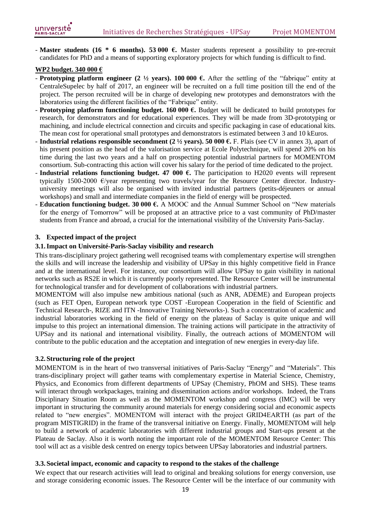- **Master students (16 \* 6 months). 53 000 €.** Master students represent a possibility to pre-recruit candidates for PhD and a means of supporting exploratory projects for which funding is difficult to find.

# **WP2 budget. 340 000 €**

- **Prototyping platform engineer (2**  $\frac{1}{2}$  **years). 100 000**  $\epsilon$ **. After the settling of the "fabrique" entity at** CentraleSupelec by half of 2017, an engineer will be recruited on a full time position till the end of the project. The person recruited will be in charge of developing new prototypes and demonstrators with the laboratories using the different facilities of the "Fabrique" entity.
- **Prototyping platform functioning budget. 160 000**  $\epsilon$ **.** Budget will be dedicated to build prototypes for research, for demonstrators and for educational experiences. They will be made from 3D-prototyping or machining, and include electrical connection and circuits and specific packaging in case of educational kits. The mean cost for operational small prototypes and demonstrators is estimated between 3 and 10 kEuros.
- **Industrial relations responsible secondment (2**  $\frac{1}{2}$  **years). 50 000**  $\epsilon$ **. F. Plais (see CV in annex 3), apart of** his present position as the head of the valorisation service at Ecole Polytechnique, will spend 20% on his time during the last two years and a half on prospecting potential industrial partners for MOMENTOM consortium. Sub-contracting this action will cover his salary for the period of time dedicated to the project.
- **Industrial relations functioning budget. 47 000**  $\epsilon$ **.** The participation to H2020 events will represent typically 1500-2000 €/year representing two travels/year for the Resource Center director. Industryuniversity meetings will also be organised with invited industrial partners (petits-déjeuners or annual workshops) and small and intermediate companies in the field of energy will be prospected.
- **Education functioning budget. 30 000 €.** A MOOC and the Annual Summer School on "New materials for the energy of Tomorrow" will be proposed at an attractive price to a vast community of PhD/master students from France and abroad, a crucial for the international visibility of the University Paris-Saclay.

# **3. Expected impact of the project**

#### **3.1.Impact on Université-Paris-Saclay visibility and research**

This trans-disciplinary project gathering well recognised teams with complementary expertise will strengthen the skills and will increase the leadership and visibility of UPSay in this highly competitive field in France and at the international level. For instance, our consortium will allow UPSay to gain visibility in national networks such as RS2E in which it is currently poorly represented. The Resource Center will be instrumental for technological transfer and for development of collaborations with industrial partners.

MOMENTOM will also impulse new ambitious national (such as ANR, ADEME) and European projects (such as FET Open, European network type COST -European Cooperation in the field of Scientific and Technical Research-, RIZE and ITN -Innovative Training Networks-). Such a concentration of academic and industrial laboratories working in the field of energy on the plateau of Saclay is quite unique and will impulse to this project an international dimension. The training actions will participate in the attractivity of UPSay and its national and international visibility. Finally, the outreach actions of MOMENTOM will contribute to the public education and the acceptation and integration of new energies in every-day life.

#### **3.2.Structuring role of the project**

MOMENTOM is in the heart of two transversal initiatives of Paris-Saclay "Energy" and "Materials". This trans-disciplinary project will gather teams with complementary expertise in Material Science, Chemistry, Physics, and Economics from different departments of UPSay (Chemistry, PhOM and SHS). These teams will interact through workpackages, training and dissemination actions and/or workshops. Indeed, the Trans Disciplinary Situation Room as well as the MOMENTOM workshop and congress (IMC) will be very important in structuring the community around materials for energy considering social and economic aspects related to "new energies". MOMENTOM will interact with the project GRID4EARTH (as part of the program MISTIGRID) in the frame of the transversal initiative on Energy. Finally, MOMENTOM will help to build a network of academic laboratories with different industrial groups and Start-ups present at the Plateau de Saclay. Also it is worth noting the important role of the MOMENTOM Resource Center: This tool will act as a visible desk centred on energy topics between UPSay laboratories and industrial partners.

#### **3.3.Societal impact, economic and capacity to respond to the stakes of the challenge**

We expect that our research activities will lead to original and breaking solutions for energy conversion, use and storage considering economic issues. The Resource Center will be the interface of our community with